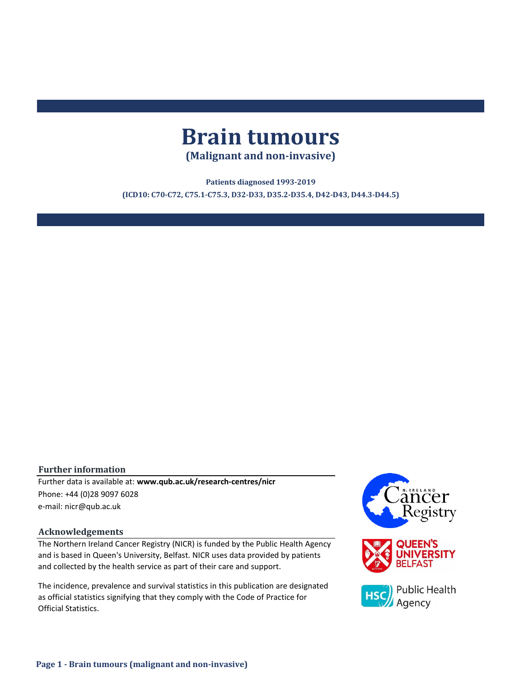# **Brain tumours**

**(Malignant and non-invasive)**

**Patients diagnosed 1993-2019 (ICD10: C70-C72, C75.1-C75.3, D32-D33, D35.2-D35.4, D42-D43, D44.3-D44.5)**

#### **Further information**

e-mail: nicr@qub.ac.uk Further data is available at: **www.qub.ac.uk/research-centres/nicr** Phone: +44 (0)28 9097 6028

#### **Acknowledgements**

The Northern Ireland Cancer Registry (NICR) is funded by the Public Health Agency and is based in Queen's University, Belfast. NICR uses data provided by patients and collected by the health service as part of their care and support.

The incidence, prevalence and survival statistics in this publication are designated as official statistics signifying that they comply with the Code of Practice for Official Statistics.

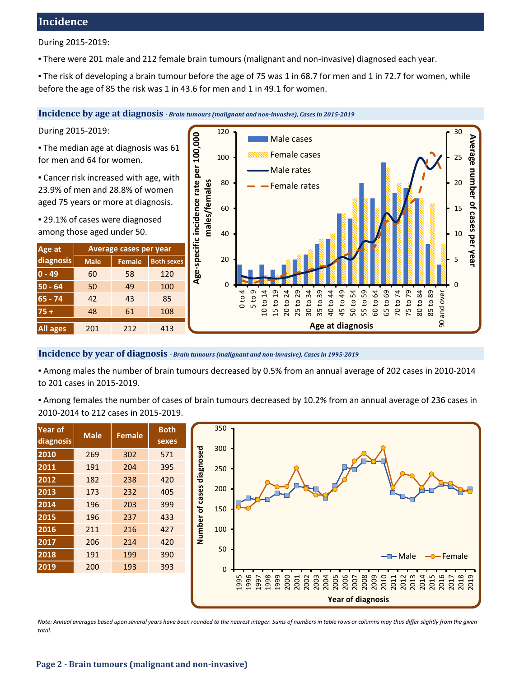# **Incidence**

During 2015-2019:

▪ There were 201 male and 212 female brain tumours (malignant and non-invasive) diagnosed each year.

▪ The risk of developing a brain tumour before the age of 75 was 1 in 68.7 for men and 1 in 72.7 for women, while before the age of 85 the risk was 1 in 43.6 for men and 1 in 49.1 for women.

**Incidence by age at diagnosis** *- Brain tumours (malignant and non-invasive), Cases in 2015-2019*

During 2015-2019:

**The median age at diagnosis was 61** for men and 64 for women.

**Example 2** Cancer risk increased with age, with 23.9% of men and 28.8% of women aged 75 years or more at diagnosis.

▪ 29.1% of cases were diagnosed among those aged under 50.

| Age at          | Average cases per year |               |                   |  |  |  |  |  |  |
|-----------------|------------------------|---------------|-------------------|--|--|--|--|--|--|
| diagnosis       | <b>Male</b>            | <b>Female</b> | <b>Both sexes</b> |  |  |  |  |  |  |
| $0 - 49$        | 60                     | 58            | 120               |  |  |  |  |  |  |
| $50 - 64$       | 50                     | 49            | 100               |  |  |  |  |  |  |
| $65 - 74$       | 42                     | 43            | 85                |  |  |  |  |  |  |
| $75+$           | 48                     | 61            | 108               |  |  |  |  |  |  |
| <b>All ages</b> | 201                    | 212           | 413               |  |  |  |  |  |  |



#### **Incidence by year of diagnosis** *- Brain tumours (malignant and non-invasive), Cases in 1995-2019*

▪ Among males the number of brain tumours decreased by 0.5% from an annual average of 202 cases in 2010-2014 to 201 cases in 2015-2019.

▪ Among females the number of cases of brain tumours decreased by 10.2% from an annual average of 236 cases in 2010-2014 to 212 cases in 2015-2019.

| <b>Year of</b><br>diagnosis | <b>Male</b> | <b>Female</b> | <b>Both</b><br>sexes |
|-----------------------------|-------------|---------------|----------------------|
| 2010                        | 269         | 302           | 571                  |
| 2011                        | 191         | 204           | 395                  |
| 2012                        | 182         | 238           | 420                  |
| 2013                        | 173         | 232           | 405                  |
| 2014                        | 196         | 203           | 399                  |
| 2015                        | 196         |               | 433                  |
| 2016                        | 211         | 216           | 427                  |
| 2017                        | 206         | 214           | 420                  |
| 2018                        | 191         | 199           | 390                  |
| 2019                        | 200         | 193           | 393                  |



*Note: Annual averages based upon several years have been rounded to the nearest integer. Sums of numbers in table rows or columns may thus differ slightly from the given total.*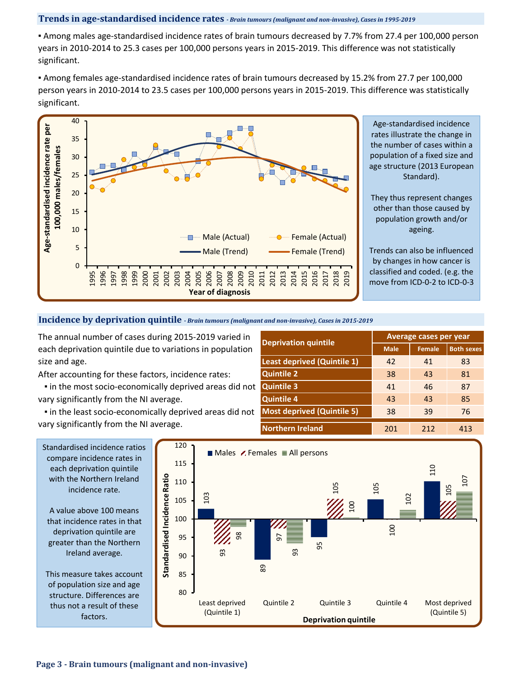#### **Trends in age-standardised incidence rates** *- Brain tumours (malignant and non-invasive), Cases in 1995-2019*

▪ Among males age-standardised incidence rates of brain tumours decreased by 7.7% from 27.4 per 100,000 person years in 2010-2014 to 25.3 cases per 100,000 persons years in 2015-2019. This difference was not statistically significant.

▪ Among females age-standardised incidence rates of brain tumours decreased by 15.2% from 27.7 per 100,000 person years in 2010-2014 to 23.5 cases per 100,000 persons years in 2015-2019. This difference was statistically significant.



Age-standardised incidence rates illustrate the change in the number of cases within a population of a fixed size and age structure (2013 European Standard).

They thus represent changes other than those caused by population growth and/or ageing.

Trends can also be influenced by changes in how cancer is classified and coded. (e.g. the move from ICD-0-2 to ICD-0-3

#### **Incidence by deprivation quintile** *- Brain tumours (malignant and non-invasive), Cases in 2015-2019*

The annual number of cases during 2015-2019 varied in each deprivation quintile due to variations in population size and age.

After accounting for these factors, incidence rates:

 ▪ in the most socio-economically deprived areas did not vary significantly from the NI average.

 ▪ in the least socio-economically deprived areas did not vary significantly from the NI average.

|                                    | <b>Average cases per year</b> |        |                   |  |  |  |
|------------------------------------|-------------------------------|--------|-------------------|--|--|--|
| <b>Deprivation quintile</b>        | <b>Male</b>                   | Female | <b>Both sexes</b> |  |  |  |
| <b>Least deprived (Quintile 1)</b> | 42                            | 41     | 83                |  |  |  |
| <b>Quintile 2</b>                  | 38                            | 43     | 81                |  |  |  |
| <b>Quintile 3</b>                  | 41                            | 46     | 87                |  |  |  |
| <b>Quintile 4</b>                  | 43                            | 43     | 85                |  |  |  |
| <b>Most deprived (Quintile 5)</b>  | 38                            | 39     | 76                |  |  |  |
| <b>Northern Ireland</b>            | 201                           | 212    | 413               |  |  |  |

compare incidence rates in each deprivation quintile with the Northern Ireland incidence rate.

A value above 100 means that incidence rates in that deprivation quintile are greater than the Northern Ireland average.

This measure takes account of population size and age structure. Differences are thus not a result of these factors.

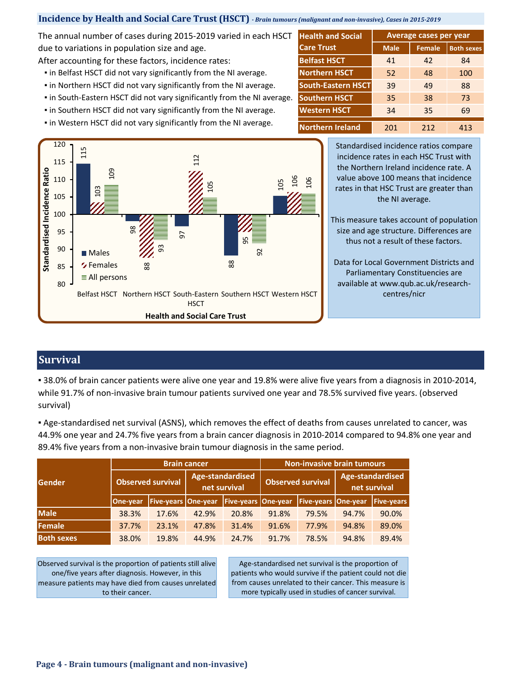### **Incidence by Health and Social Care Trust (HSCT)** *- Brain tumours (malignant and non-invasive), Cases in 2015-2019*

The annual number of cases during 2015-2019 varied in each HSCT due to variations in population size and age.

After accounting for these factors, incidence rates:

- **.** in Belfast HSCT did not vary significantly from the NI average.
- **.** in Northern HSCT did not vary significantly from the NI average.
- in South-Eastern HSCT did not vary significantly from the NI average.
- **.** in Southern HSCT did not vary significantly from the NI average.
- **.** in Western HSCT did not vary significantly from the NI average.

| <b>Health and Social</b>  | Average cases per year |               |                   |  |  |  |  |  |
|---------------------------|------------------------|---------------|-------------------|--|--|--|--|--|
| <b>Care Trust</b>         | <b>Male</b>            | <b>Female</b> | <b>Both sexes</b> |  |  |  |  |  |
| <b>Belfast HSCT</b>       | 41                     | 42            | 84                |  |  |  |  |  |
| <b>Northern HSCT</b>      | 52                     | 48            | 100               |  |  |  |  |  |
| <b>South-Eastern HSCT</b> | 39                     | 49            | 88                |  |  |  |  |  |
| <b>Southern HSCT</b>      | 35                     | 38            | 73                |  |  |  |  |  |
| <b>Western HSCT</b>       | 34                     | 35            | 69                |  |  |  |  |  |
| <b>Northern Ireland</b>   | 201                    | 212           | 413               |  |  |  |  |  |



Standardised incidence ratios compare incidence rates in each HSC Trust with the Northern Ireland incidence rate. A value above 100 means that incidence rates in that HSC Trust are greater than the NI average.

This measure takes account of population size and age structure. Differences are thus not a result of these factors.

Data for Local Government Districts and Parliamentary Constituencies are available at www.qub.ac.uk/researchcentres/nicr

# **Survival**

▪ 38.0% of brain cancer patients were alive one year and 19.8% were alive five years from a diagnosis in 2010-2014, while 91.7% of non-invasive brain tumour patients survived one year and 78.5% survived five years. (observed survival)

▪ Age-standardised net survival (ASNS), which removes the effect of deaths from causes unrelated to cancer, was 44.9% one year and 24.7% five years from a brain cancer diagnosis in 2010-2014 compared to 94.8% one year and

| Gender            |                          | <b>Brain cancer</b>        |                                  |                            | <b>Non-invasive brain tumours</b> |                            |                                  |                   |  |
|-------------------|--------------------------|----------------------------|----------------------------------|----------------------------|-----------------------------------|----------------------------|----------------------------------|-------------------|--|
|                   | <b>Observed survival</b> |                            | Age-standardised<br>net survival |                            | <b>Observed survival</b>          |                            | Age-standardised<br>net survival |                   |  |
|                   | One-year                 | <b>Five-years One-year</b> |                                  | <b>Five-years One-year</b> |                                   | <b>Five-years One-year</b> |                                  | <b>Five-years</b> |  |
| <b>Male</b>       | 38.3%                    | 17.6%                      | 42.9%                            | 20.8%                      | 91.8%                             | 79.5%                      | 94.7%                            | 90.0%             |  |
| Female            | 37.7%                    | 23.1%                      | 47.8%                            | 31.4%                      | 91.6%                             | 77.9%                      | 94.8%                            | 89.0%             |  |
| <b>Both sexes</b> | 38.0%                    | 19.8%                      | 44.9%                            | 24.7%                      | 91.7%                             | 78.5%                      | 94.8%                            | 89.4%             |  |

Observed survival is the proportion of patients still alive one/five years after diagnosis. However, in this measure patients may have died from causes unrelated to their cancer.

Age-standardised net survival is the proportion of patients who would survive if the patient could not die from causes unrelated to their cancer. This measure is more typically used in studies of cancer survival.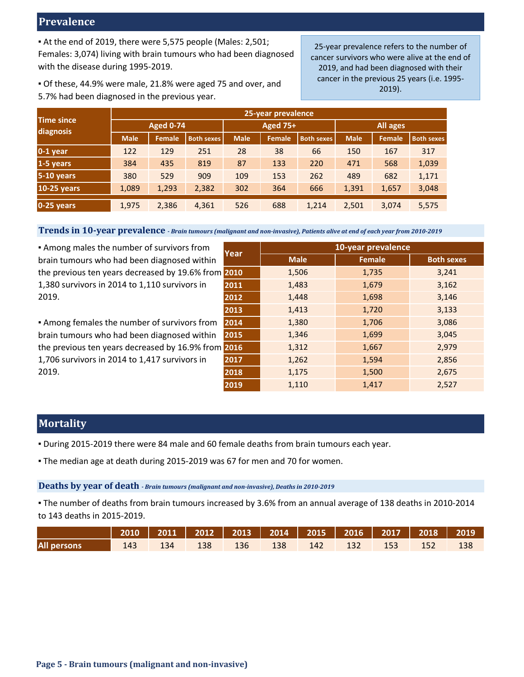# **Prevalence**

▪ At the end of 2019, there were 5,575 people (Males: 2,501; Females: 3,074) living with brain tumours who had been diagnosed with the disease during 1995-2019.

25-year prevalence refers to the number of cancer survivors who were alive at the end of 2019, and had been diagnosed with their cancer in the previous 25 years (i.e. 1995- 2019).

▪ Of these, 44.9% were male, 21.8% were aged 75 and over, and 5.7% had been diagnosed in the previous year.

| <b>Time since</b>  | 25-year prevalence |               |                   |             |                 |                   |             |        |                   |  |  |
|--------------------|--------------------|---------------|-------------------|-------------|-----------------|-------------------|-------------|--------|-------------------|--|--|
| diagnosis          | <b>Aged 0-74</b>   |               |                   |             | <b>Aged 75+</b> |                   | All ages    |        |                   |  |  |
|                    | <b>Male</b>        | <b>Female</b> | <b>Both sexes</b> | <b>Male</b> | <b>Female</b>   | <b>Both sexes</b> | <b>Male</b> | Female | <b>Both sexes</b> |  |  |
| $0-1$ year         | 122                | 129           | 251               | 28          | 38              | 66                | 150         | 167    | 317               |  |  |
| 1-5 years          | 384                | 435           | 819               | 87          | 133             | 220               | 471         | 568    | 1,039             |  |  |
| $5-10$ years       | 380                | 529           | 909               | 109         | 153             | 262               | 489         | 682    | 1,171             |  |  |
| <b>10-25 years</b> | 1,089              | 1,293         | 2,382             | 302         | 364             | 666               | 1,391       | 1,657  | 3,048             |  |  |
| $0-25$ years       | 1,975              | 2,386         | 4,361             | 526         | 688             | 1,214             | 2,501       | 3,074  | 5,575             |  |  |

**Trends in 10-year prevalence** *- Brain tumours (malignant and non-invasive), Patients alive at end of each year from 2010-2019*

**Example 1** Among males the number of survivors from brain tumours who had been diagnosed within the previous ten years decreased by 19.6% fro 1,380 survivors in 2014 to 1,110 survivors in 2019.

**.** Among females the number of survivors from brain tumours who had been diagnosed within the previous ten years decreased by 16.9% fro 1,706 survivors in 2014 to 1,417 survivors in 2019.

|     |      | 10-year prevalence |               |                   |  |  |  |  |  |
|-----|------|--------------------|---------------|-------------------|--|--|--|--|--|
| n   | Year | <b>Male</b>        | <b>Female</b> | <b>Both sexes</b> |  |  |  |  |  |
| מת) | 2010 | 1,506              | 1,735         | 3,241             |  |  |  |  |  |
|     | 2011 | 1,483              | 1,679         | 3,162             |  |  |  |  |  |
|     | 2012 | 1,448              | 1,698         | 3,146             |  |  |  |  |  |
|     | 2013 | 1,413              | 1,720         | 3,133             |  |  |  |  |  |
| η   | 2014 | 1,380              | 1,706         | 3,086             |  |  |  |  |  |
| n   | 2015 | 1,346              | 1,699         | 3,045             |  |  |  |  |  |
| )m  | 2016 | 1,312              | 1,667         | 2,979             |  |  |  |  |  |
|     | 2017 | 1,262              | 1,594         | 2,856             |  |  |  |  |  |
|     | 2018 | 1,175              | 1,500         | 2,675             |  |  |  |  |  |
|     | 2019 | 1,110              | 1,417         | 2,527             |  |  |  |  |  |

# **Mortality**

- During 2015-2019 there were 84 male and 60 female deaths from brain tumours each year.
- . The median age at death during 2015-2019 was 67 for men and 70 for women.

## **Deaths by year of death** *- Brain tumours (malignant and non-invasive), Deaths in 2010-2019*

▪ The number of deaths from brain tumours increased by 3.6% from an annual average of 138 deaths in 2010-2014 to 143 deaths in 2015-2019.

|                    |      |     |         |        |         |               |     | 2010   2011   2012   2013   2014   2015   2016   2017   2018   2019 |  |
|--------------------|------|-----|---------|--------|---------|---------------|-----|---------------------------------------------------------------------|--|
| <b>All persons</b> | 143. | 134 | - 138 - | $-136$ | - 138 - | - 142 - 132 - | 153 | $-152$                                                              |  |